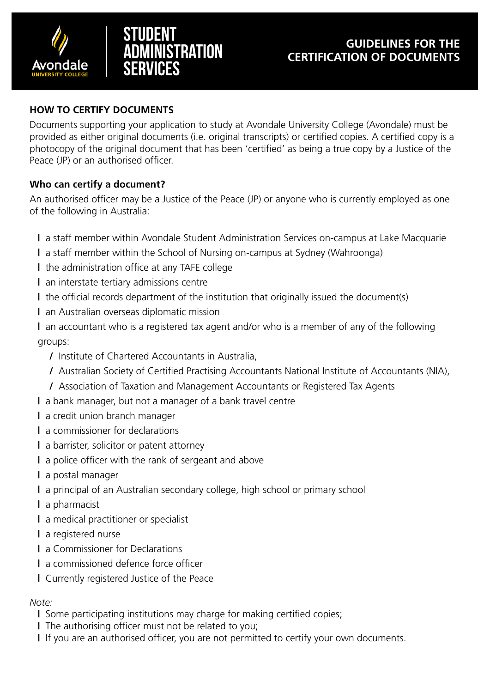



#### **HOW TO CERTIFY DOCUMENTS**

Documents supporting your application to study at Avondale University College (Avondale) must be provided as either original documents (i.e. original transcripts) or certified copies. A certified copy is a photocopy of the original document that has been 'certified' as being a true copy by a Justice of the Peace (JP) or an authorised officer.

#### **Who can certify a document?**

An authorised officer may be a Justice of the Peace (JP) or anyone who is currently employed as one of the following in Australia:

**|** a staff member within Avondale Student Administration Services on-campus at Lake Macquarie

- **|** a staff member within the School of Nursing on-campus at Sydney (Wahroonga)
- **|** the administration office at any TAFE college
- **|** an interstate tertiary admissions centre
- **|** the official records department of the institution that originally issued the document(s)
- **|** an Australian overseas diplomatic mission

**|** an accountant who is a registered tax agent and/or who is a member of any of the following groups:

- **/** Institute of Chartered Accountants in Australia,
- **/** Australian Society of Certified Practising Accountants National Institute of Accountants (NIA),
- **/** Association of Taxation and Management Accountants or Registered Tax Agents
- **|** a bank manager, but not a manager of a bank travel centre
- **|** a credit union branch manager
- **|** a commissioner for declarations
- **|** a barrister, solicitor or patent attorney
- **|** a police officer with the rank of sergeant and above
- **|** a postal manager
- **|** a principal of an Australian secondary college, high school or primary school
- **|** a pharmacist
- **|** a medical practitioner or specialist
- **|** a registered nurse
- **|** a Commissioner for Declarations
- **|** a commissioned defence force officer
- **|** Currently registered Justice of the Peace

# *Note:*

- **|** Some participating institutions may charge for making certified copies;
- **|** The authorising officer must not be related to you;
- **|** If you are an authorised officer, you are not permitted to certify your own documents.